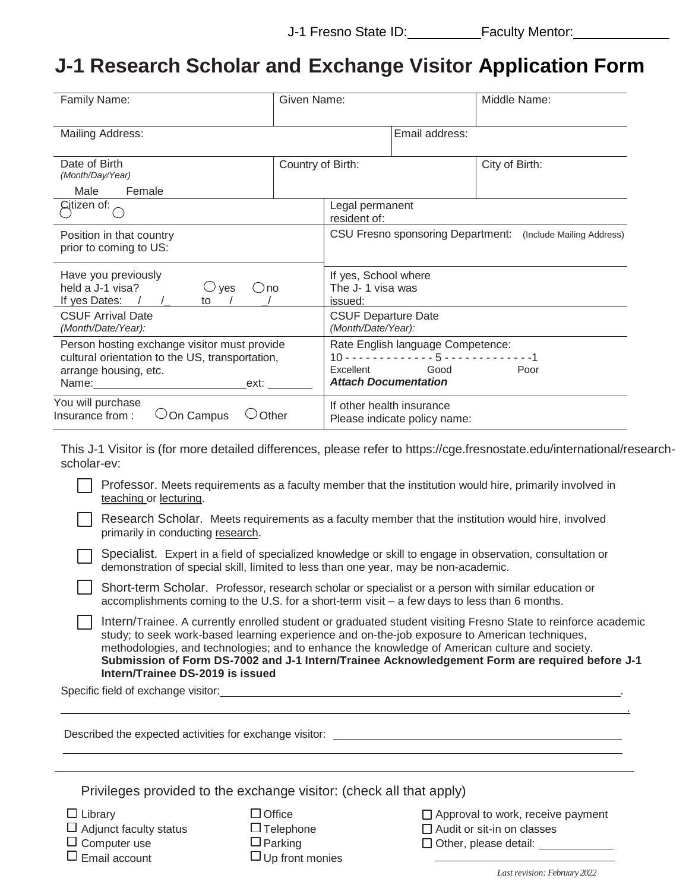## **J-1 Research Scholar and Exchange Visitor Application Form**

| Family Name:                                                                                                                                    | Given Name:       |                                                     |                                                                                           | Middle Name:                                                |
|-------------------------------------------------------------------------------------------------------------------------------------------------|-------------------|-----------------------------------------------------|-------------------------------------------------------------------------------------------|-------------------------------------------------------------|
| Mailing Address:                                                                                                                                |                   |                                                     | Email address:                                                                            |                                                             |
| Date of Birth<br>(Month/Day/Year)                                                                                                               | Country of Birth: |                                                     |                                                                                           | City of Birth:                                              |
| Male<br>Female                                                                                                                                  |                   |                                                     |                                                                                           |                                                             |
| Citizen of:                                                                                                                                     |                   | Legal permanent<br>resident of:                     |                                                                                           |                                                             |
| Position in that country<br>prior to coming to US:                                                                                              |                   |                                                     |                                                                                           | CSU Fresno sponsoring Department: (Include Mailing Address) |
| Have you previously<br>held a J-1 visa?<br>$\cup$ ves<br>()no<br>If yes Dates:<br>to                                                            |                   | If yes, School where<br>The J-1 visa was<br>issued: |                                                                                           |                                                             |
| <b>CSUF Arrival Date</b><br>(Month/Date/Year):                                                                                                  |                   | <b>CSUF Departure Date</b><br>(Month/Date/Year):    |                                                                                           |                                                             |
| Person hosting exchange visitor must provide<br>cultural orientation to the US, transportation,<br>arrange housing, etc.<br>Name: Name:<br>ext: |                   | Excellent<br><b>Attach Documentation</b>            | Rate English language Competence:<br>$10 - 1 - 1 - 1 - 1 - 1 - 5 - 1 - 1 - 1 - 1$<br>Good | Poor                                                        |
| You will purchase<br>Insurance from:<br>On Campus                                                                                               | Other             | If other health insurance                           | Please indicate policy name:                                                              |                                                             |

This J-1 Visitor is (for more detailed differences, please refer to https://cge.fresnostate.edu/international/researchscholar-ev:

Professor. Meets requirements as a faculty member that the institution would hire, primarily involved in teaching or lecturing.

Research Scholar. Meets requirements as a faculty member that the institution would hire, involved primarily in conducting research.

Specialist. Expert in a field of specialized knowledge or skill to engage in observation, consultation or demonstration of special skill, limited to less than one year, may be non-academic.

Short-term Scholar. Professor, research scholar or specialist or a person with similar education or accomplishments coming to the U.S. for a short-term visit – a few days to less than 6 months.

Intern/Trainee. A currently enrolled student or graduated student visiting Fresno State to reinforce academic study; to seek work-based learning experience and on-the-job exposure to American techniques, methodologies, and technologies; and to enhance the knowledge of American culture and society. **Submission of Form DS-7002 and J-1 Intern/Trainee Acknowledgement Form are required before J-1 Intern/Trainee DS-2019 is issued**

Specific field of exchange visitor: .

|                                                                     | Described the expected activities for exchange visitor: |                                          |  |  |
|---------------------------------------------------------------------|---------------------------------------------------------|------------------------------------------|--|--|
|                                                                     |                                                         |                                          |  |  |
| Privileges provided to the exchange visitor: (check all that apply) |                                                         |                                          |  |  |
| $\Box$ Library                                                      | $\Box$ Office                                           | $\Box$ Approval to work, receive payment |  |  |

<u>. Andreas Andreas Andreas Andreas Andreas Andreas Andreas Andreas Andreas Andreas Andreas Andreas Andreas And</u>

- $\Box$  Adjunct faculty status  $\square$  Computer use  $\square$  Email account
- $\Box$  Telephone
- $\Box$  Parking
- $\Box$  Up front monies

□ Audit or sit-in on classes

 $\Box$  Other, please detail:

*Lastrevision: February 2022*